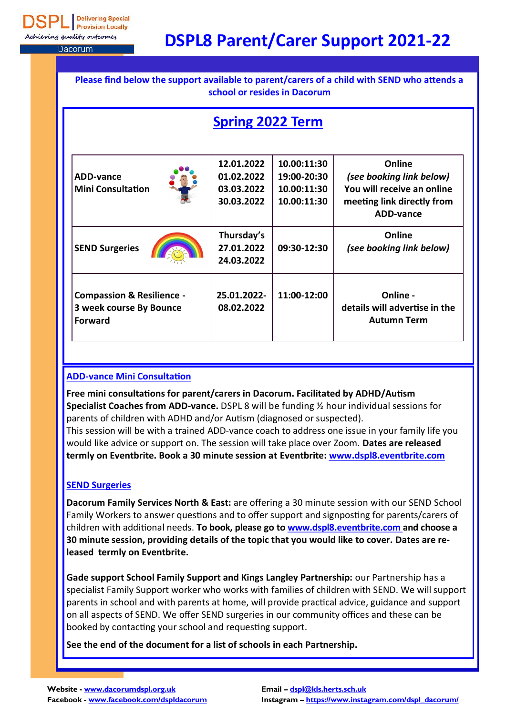**Delivering Special Provision Locally** eving quality outcomes

Dacorum

# **DSPL8 Parent/Carer Support 2021-22**

| Please find below the support available to parent/carers of a child with SEND who attends a<br>school or resides in Dacorum |                                                      |                                                          |                                                                                                                    |  |  |
|-----------------------------------------------------------------------------------------------------------------------------|------------------------------------------------------|----------------------------------------------------------|--------------------------------------------------------------------------------------------------------------------|--|--|
| <b>Spring 2022 Term</b>                                                                                                     |                                                      |                                                          |                                                                                                                    |  |  |
| ADD-vance<br><b>Mini Consultation</b>                                                                                       | 12.01.2022<br>01.02.2022<br>03.03.2022<br>30.03.2022 | 10.00:11:30<br>19:00-20:30<br>10.00:11:30<br>10.00:11:30 | Online<br>(see booking link below)<br>You will receive an online<br>meeting link directly from<br><b>ADD-vance</b> |  |  |
| <b>SEND Surgeries</b>                                                                                                       | Thursday's<br>27.01.2022<br>24.03.2022               | 09:30-12:30                                              | Online<br>(see booking link below)                                                                                 |  |  |
| <b>Compassion &amp; Resilience -</b><br>3 week course By Bounce<br><b>Forward</b>                                           | 25.01.2022-<br>08.02.2022                            | 11:00-12:00                                              | Online -<br>details will advertise in the<br><b>Autumn Term</b>                                                    |  |  |

#### **ADD-vance Mini Consultation**

**Free mini consultations for parent/carers in Dacorum. Facilitated by ADHD/Autism Specialist Coaches from ADD-vance.** DSPL 8 will be funding ½ hour individual sessions for parents of children with ADHD and/or Autism (diagnosed or suspected). This session will be with a trained ADD-vance coach to address one issue in your family life you would like advice or support on. The session will take place over Zoom. **Dates are released termly on Eventbrite. Book a 30 minute session at Eventbrite: www[.dspl8.eventbrite.com](http://dspl8.eventbrite.com/)**

#### **SEND Surgeries**

**Dacorum Family Services North & East:** are offering a 30 minute session with our SEND School Family Workers to answer questions and to offer support and signposting for parents/carers of children with additional needs. **To book, please go to www.[dspl8.eventbrite.com](http://dspl8.eventbrite.com/) and choose a 30 minute session, providing details of the topic that you would like to cover. Dates are released termly on Eventbrite.** 

**Gade support School Family Support and Kings Langley Partnership:** our Partnership has a specialist Family Support worker who works with families of children with SEND. We will support parents in school and with parents at home, will provide practical advice, guidance and support on all aspects of SEND. We offer SEND surgeries in our community offices and these can be booked by contacting your school and requesting support.

**See the end of the document for a list of schools in each Partnership.**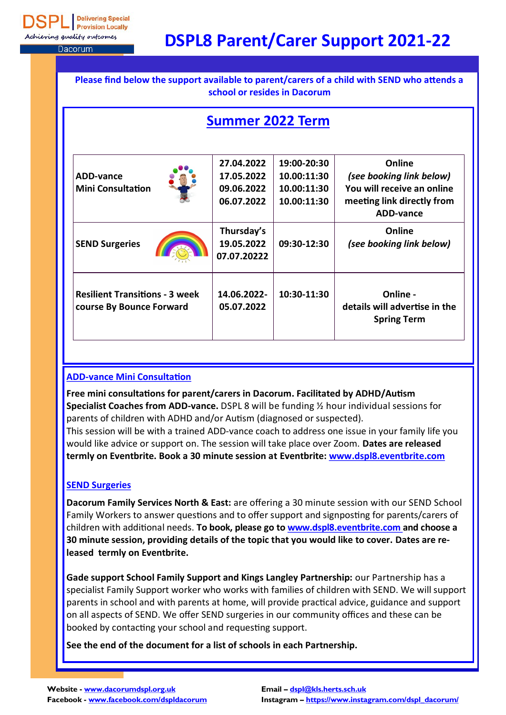**Delivering Special Provision Locally** eving quality outcomes

Dacorum

# **DSPL8 Parent/Carer Support 2021-22**

| Please find below the support available to parent/carers of a child with SEND who attends a<br>school or resides in Dacorum |                                                      |                                                          |                                                                                                                    |  |  |
|-----------------------------------------------------------------------------------------------------------------------------|------------------------------------------------------|----------------------------------------------------------|--------------------------------------------------------------------------------------------------------------------|--|--|
| <b>Summer 2022 Term</b>                                                                                                     |                                                      |                                                          |                                                                                                                    |  |  |
| ADD-vance<br><b>Mini Consultation</b>                                                                                       | 27.04.2022<br>17.05.2022<br>09.06.2022<br>06.07.2022 | 19:00-20:30<br>10.00:11:30<br>10.00:11:30<br>10.00:11:30 | Online<br>(see booking link below)<br>You will receive an online<br>meeting link directly from<br><b>ADD-vance</b> |  |  |
| <b>SEND Surgeries</b>                                                                                                       | Thursday's<br>19.05.2022<br>07.07.20222              | 09:30-12:30                                              | Online<br>(see booking link below)                                                                                 |  |  |
| <b>Resilient Transitions - 3 week</b><br>course By Bounce Forward                                                           | 14.06.2022-<br>05.07.2022                            | 10:30-11:30                                              | Online -<br>details will advertise in the<br><b>Spring Term</b>                                                    |  |  |

#### **ADD-vance Mini Consultation**

**Free mini consultations for parent/carers in Dacorum. Facilitated by ADHD/Autism Specialist Coaches from ADD-vance.** DSPL 8 will be funding ½ hour individual sessions for parents of children with ADHD and/or Autism (diagnosed or suspected). This session will be with a trained ADD-vance coach to address one issue in your family life you would like advice or support on. The session will take place over Zoom. **Dates are released termly on Eventbrite. Book a 30 minute session at Eventbrite: www[.dspl8.eventbrite.com](http://dspl8.eventbrite.com/)**

#### **SEND Surgeries**

**Dacorum Family Services North & East:** are offering a 30 minute session with our SEND School Family Workers to answer questions and to offer support and signposting for parents/carers of children with additional needs. **To book, please go to www.[dspl8.eventbrite.com](http://dspl8.eventbrite.com/) and choose a 30 minute session, providing details of the topic that you would like to cover. Dates are released termly on Eventbrite.** 

**Gade support School Family Support and Kings Langley Partnership:** our Partnership has a specialist Family Support worker who works with families of children with SEND. We will support parents in school and with parents at home, will provide practical advice, guidance and support on all aspects of SEND. We offer SEND surgeries in our community offices and these can be booked by contacting your school and requesting support.

**See the end of the document for a list of schools in each Partnership.**